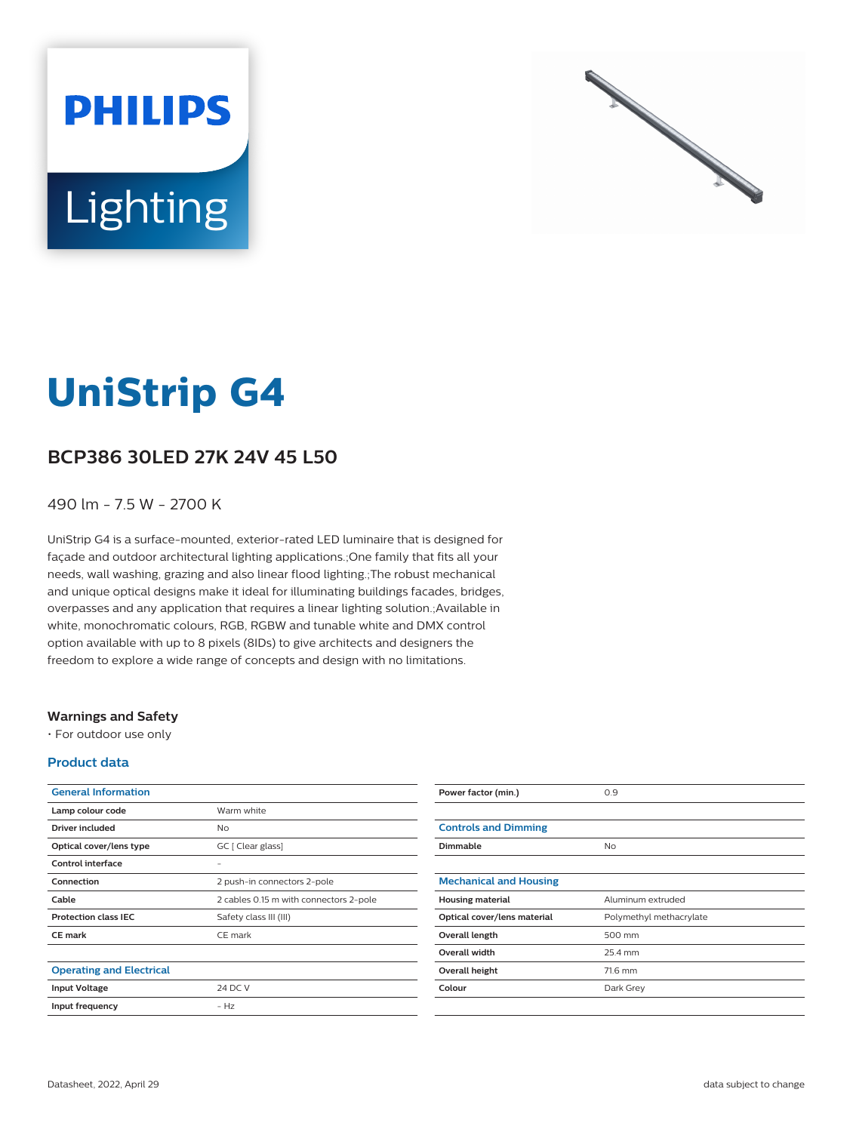



# **UniStrip G4**

## **BCP386 30LED 27K 24V 45 L50**

#### 490 lm - 7.5 W - 2700 K

UniStrip G4 is a surface-mounted, exterior-rated LED luminaire that is designed for façade and outdoor architectural lighting applications.;One family that fits all your needs, wall washing, grazing and also linear flood lighting.;The robust mechanical and unique optical designs make it ideal for illuminating buildings facades, bridges, overpasses and any application that requires a linear lighting solution.;Available in white, monochromatic colours, RGB, RGBW and tunable white and DMX control option available with up to 8 pixels (8IDs) to give architects and designers the freedom to explore a wide range of concepts and design with no limitations.

#### **Warnings and Safety**

• For outdoor use only

#### **Product data**

| <b>General Information</b>      |                                        |
|---------------------------------|----------------------------------------|
| Lamp colour code                | Warm white                             |
| Driver included                 | No                                     |
| Optical cover/lens type         | GC [ Clear glass]                      |
| Control interface               |                                        |
| Connection                      | 2 push-in connectors 2-pole            |
| Cable                           | 2 cables 0.15 m with connectors 2-pole |
| <b>Protection class IEC</b>     | Safety class III (III)                 |
| <b>CE</b> mark                  | CE mark                                |
|                                 |                                        |
| <b>Operating and Electrical</b> |                                        |
| <b>Input Voltage</b>            | 24 DC V                                |
| Input frequency                 | $- H7$                                 |
|                                 |                                        |

| Power factor (min.)           | 0.9                     |
|-------------------------------|-------------------------|
|                               |                         |
| <b>Controls and Dimming</b>   |                         |
| Dimmable                      | N <sub>o</sub>          |
|                               |                         |
| <b>Mechanical and Housing</b> |                         |
| <b>Housing material</b>       | Aluminum extruded       |
| Optical cover/lens material   | Polymethyl methacrylate |
| Overall length                | 500 mm                  |
| <b>Overall width</b>          | 25.4 mm                 |
| Overall height                | 71.6 mm                 |
| Colour                        | Dark Grey               |
|                               |                         |